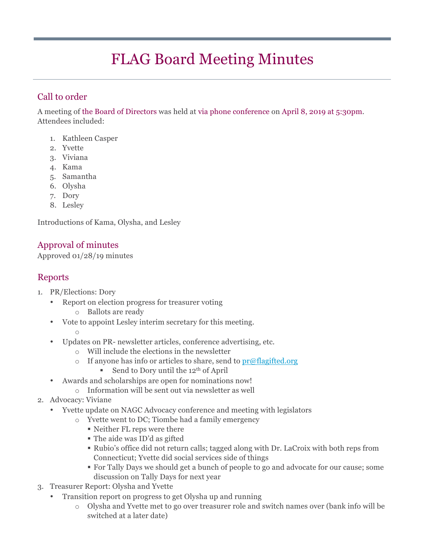# FLAG Board Meeting Minutes

# Call to order

A meeting of the Board of Directors was held at via phone conference on April 8, 2019 at 5:30pm. Attendees included:

- 1. Kathleen Casper
- 2. Yvette
- 3. Viviana
- 4. Kama
- 5. Samantha
- 6. Olysha
- 7. Dory
- 8. Lesley

Introductions of Kama, Olysha, and Lesley

## Approval of minutes

Approved 01/28/19 minutes

## Reports

- 1. PR/Elections: Dory
	- Report on election progress for treasurer voting
		- o Ballots are ready
	- Vote to appoint Lesley interim secretary for this meeting. o
		-
		- Updates on PR- newsletter articles, conference advertising, etc.
			- o Will include the elections in the newsletter
			- o If anyone has info or articles to share, send to  $pr@flagified.org$ 
				- **Send to Dory until the 12<sup>th</sup> of April**
	- Awards and scholarships are open for nominations now!
		- o Information will be sent out via newsletter as well
- 2. Advocacy: Viviane
	- Yvette update on NAGC Advocacy conference and meeting with legislators
		- o Yvette went to DC; Tiombe had a family emergency
			- ! Neither FL reps were there
			- ! The aide was ID'd as gifted
			- ! Rubio's office did not return calls; tagged along with Dr. LaCroix with both reps from Connecticut; Yvette did social services side of things
			- ! For Tally Days we should get a bunch of people to go and advocate for our cause; some discussion on Tally Days for next year
- 3. Treasurer Report: Olysha and Yvette
	- Transition report on progress to get Olysha up and running
		- o Olysha and Yvette met to go over treasurer role and switch names over (bank info will be switched at a later date)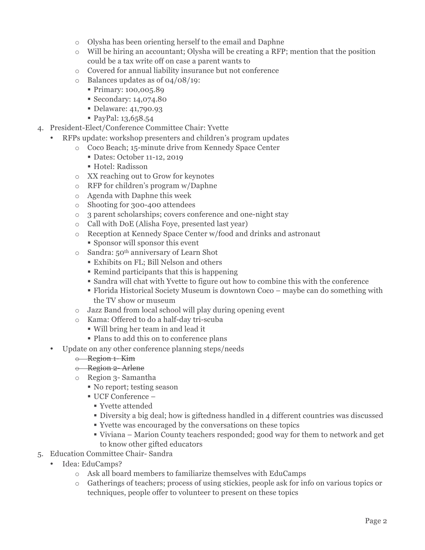- o Olysha has been orienting herself to the email and Daphne
- $\circ$  Will be hiring an accountant; Olysha will be creating a RFP; mention that the position could be a tax write off on case a parent wants to
- o Covered for annual liability insurance but not conference
- o Balances updates as of 04/08/19:
	- ! Primary: 100,005.89
	- ! Secondary: 14,074.80
	- ! Delaware: 41,790.93
	- ! PayPal: 13,658.54
- 4. President-Elect/Conference Committee Chair: Yvette
	- RFPs update: workshop presenters and children's program updates
		- o Coco Beach; 15-minute drive from Kennedy Space Center
			- ! Dates: October 11-12, 2019
			- ! Hotel: Radisson
		- o XX reaching out to Grow for keynotes
		- o RFP for children's program w/Daphne
		- o Agenda with Daphne this week
		- o Shooting for 300-400 attendees
		- o 3 parent scholarships; covers conference and one-night stay
		- o Call with DoE (Alisha Foye, presented last year)
		- o Reception at Kennedy Space Center w/food and drinks and astronaut
			- ! Sponsor will sponsor this event
		- o Sandra: 50th anniversary of Learn Shot
			- ! Exhibits on FL; Bill Nelson and others
			- ! Remind participants that this is happening
			- ! Sandra will chat with Yvette to figure out how to combine this with the conference
			- ! Florida Historical Society Museum is downtown Coco maybe can do something with the TV show or museum
		- o Jazz Band from local school will play during opening event
		- o Kama: Offered to do a half-day tri-scuba
			- ! Will bring her team in and lead it
			- ! Plans to add this on to conference plans
	- Update on any other conference planning steps/needs

#### o Region 1- Kim

- o Region 2- Arlene
- o Region 3- Samantha
	- ! No report; testing season
	- $\blacksquare$  UCF Conference  $-$ 
		- ! Yvette attended
		- ! Diversity a big deal; how is giftedness handled in 4 different countries was discussed
		- ! Yvette was encouraged by the conversations on these topics
		- ! Viviana Marion County teachers responded; good way for them to network and get to know other gifted educators
- 5. Education Committee Chair- Sandra
	- Idea: EduCamps?
		- o Ask all board members to familiarize themselves with EduCamps
		- o Gatherings of teachers; process of using stickies, people ask for info on various topics or techniques, people offer to volunteer to present on these topics